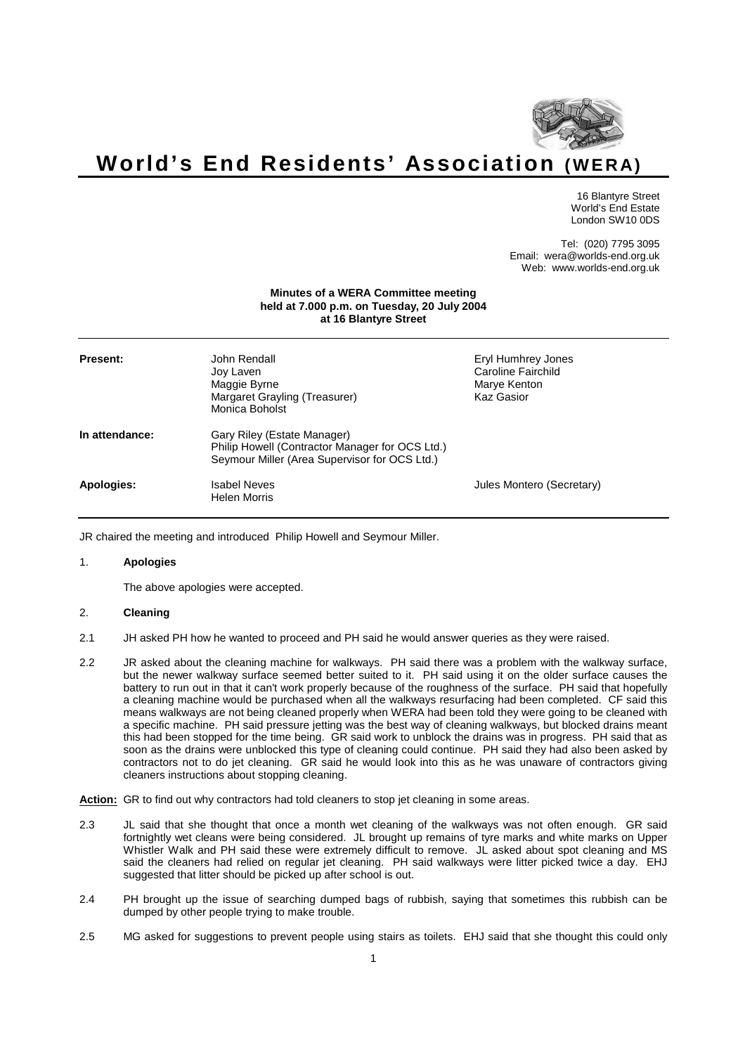

# **World's End Residents' Association (WERA)**

16 Blantyre Street World's End Estate London SW10 0DS

Tel: (020) 7795 3095 Email: wera@worlds-end.org.uk Web: www.worlds-end.org.uk

# **Minutes of a WERA Committee meeting held at 7.000 p.m. on Tuesday, 20 July 2004 at 16 Blantyre Street**

| Present:       | John Rendall.<br>Joy Laven<br>Maggie Byrne<br>Margaret Grayling (Treasurer)<br>Monica Boholst                                   | Eryl Humhrey Jones<br>Caroline Fairchild<br>Marye Kenton<br>Kaz Gasior |
|----------------|---------------------------------------------------------------------------------------------------------------------------------|------------------------------------------------------------------------|
| In attendance: | Gary Riley (Estate Manager)<br>Philip Howell (Contractor Manager for OCS Ltd.)<br>Seymour Miller (Area Supervisor for OCS Ltd.) |                                                                        |
| Apologies:     | <b>Isabel Neves</b><br><b>Helen Morris</b>                                                                                      | Jules Montero (Secretary)                                              |

JR chaired the meeting and introduced Philip Howell and Seymour Miller.

# 1. **Apologies**

The above apologies were accepted.

# 2. **Cleaning**

- 2.1 JH asked PH how he wanted to proceed and PH said he would answer queries as they were raised.
- 2.2 JR asked about the cleaning machine for walkways. PH said there was a problem with the walkway surface, but the newer walkway surface seemed better suited to it. PH said using it on the older surface causes the battery to run out in that it can't work properly because of the roughness of the surface. PH said that hopefully a cleaning machine would be purchased when all the walkways resurfacing had been completed. CF said this means walkways are not being cleaned properly when WERA had been told they were going to be cleaned with a specific machine. PH said pressure jetting was the best way of cleaning walkways, but blocked drains meant this had been stopped for the time being. GR said work to unblock the drains was in progress. PH said that as soon as the drains were unblocked this type of cleaning could continue. PH said they had also been asked by contractors not to do jet cleaning. GR said he would look into this as he was unaware of contractors giving cleaners instructions about stopping cleaning.

**Action:** GR to find out why contractors had told cleaners to stop jet cleaning in some areas.

- 2.3 JL said that she thought that once a month wet cleaning of the walkways was not often enough. GR said fortnightly wet cleans were being considered. JL brought up remains of tyre marks and white marks on Upper Whistler Walk and PH said these were extremely difficult to remove. JL asked about spot cleaning and MS said the cleaners had relied on regular jet cleaning. PH said walkways were litter picked twice a day. EHJ suggested that litter should be picked up after school is out.
- 2.4 PH brought up the issue of searching dumped bags of rubbish, saying that sometimes this rubbish can be dumped by other people trying to make trouble.
- 2.5 MG asked for suggestions to prevent people using stairs as toilets. EHJ said that she thought this could only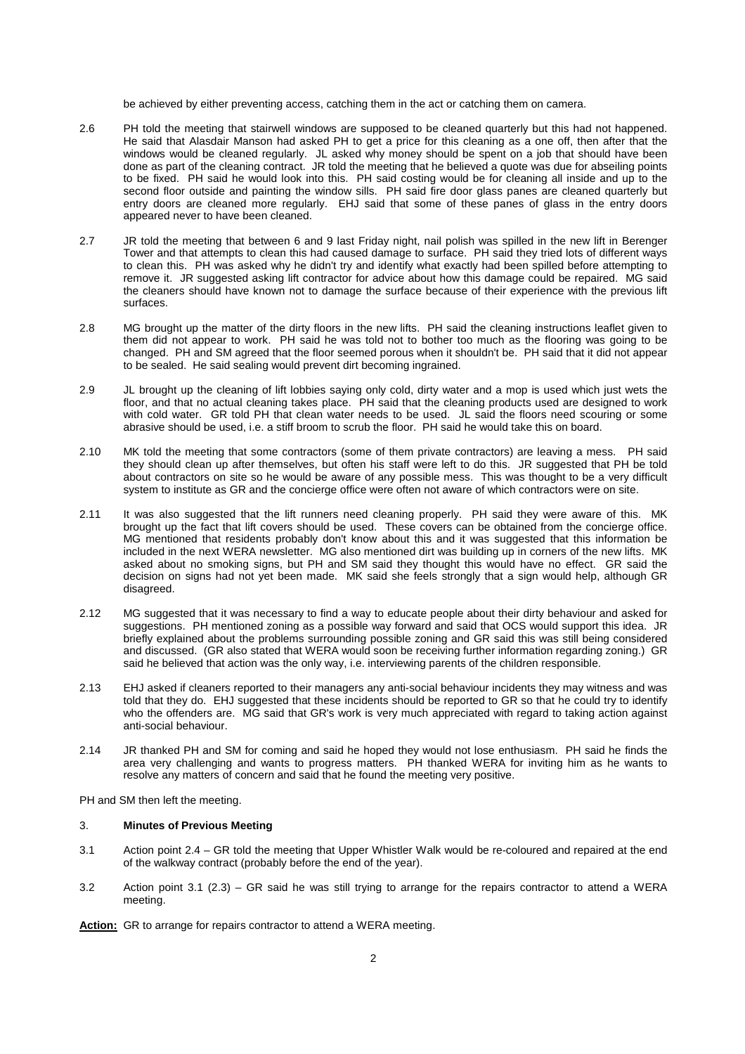be achieved by either preventing access, catching them in the act or catching them on camera.

- 2.6 PH told the meeting that stairwell windows are supposed to be cleaned quarterly but this had not happened. He said that Alasdair Manson had asked PH to get a price for this cleaning as a one off, then after that the windows would be cleaned regularly. JL asked why money should be spent on a job that should have been done as part of the cleaning contract. JR told the meeting that he believed a quote was due for abseiling points to be fixed. PH said he would look into this. PH said costing would be for cleaning all inside and up to the second floor outside and painting the window sills. PH said fire door glass panes are cleaned quarterly but entry doors are cleaned more regularly. EHJ said that some of these panes of glass in the entry doors appeared never to have been cleaned.
- 2.7 JR told the meeting that between 6 and 9 last Friday night, nail polish was spilled in the new lift in Berenger Tower and that attempts to clean this had caused damage to surface. PH said they tried lots of different ways to clean this. PH was asked why he didn't try and identify what exactly had been spilled before attempting to remove it. JR suggested asking lift contractor for advice about how this damage could be repaired. MG said the cleaners should have known not to damage the surface because of their experience with the previous lift surfaces.
- 2.8 MG brought up the matter of the dirty floors in the new lifts. PH said the cleaning instructions leaflet given to them did not appear to work. PH said he was told not to bother too much as the flooring was going to be changed. PH and SM agreed that the floor seemed porous when it shouldn't be. PH said that it did not appear to be sealed. He said sealing would prevent dirt becoming ingrained.
- 2.9 JL brought up the cleaning of lift lobbies saying only cold, dirty water and a mop is used which just wets the floor, and that no actual cleaning takes place. PH said that the cleaning products used are designed to work with cold water. GR told PH that clean water needs to be used. JL said the floors need scouring or some abrasive should be used, i.e. a stiff broom to scrub the floor. PH said he would take this on board.
- 2.10 MK told the meeting that some contractors (some of them private contractors) are leaving a mess. PH said they should clean up after themselves, but often his staff were left to do this. JR suggested that PH be told about contractors on site so he would be aware of any possible mess. This was thought to be a very difficult system to institute as GR and the concierge office were often not aware of which contractors were on site.
- 2.11 It was also suggested that the lift runners need cleaning properly. PH said they were aware of this. MK brought up the fact that lift covers should be used. These covers can be obtained from the concierge office. MG mentioned that residents probably don't know about this and it was suggested that this information be included in the next WERA newsletter. MG also mentioned dirt was building up in corners of the new lifts. MK asked about no smoking signs, but PH and SM said they thought this would have no effect. GR said the decision on signs had not yet been made. MK said she feels strongly that a sign would help, although GR disagreed.
- 2.12 MG suggested that it was necessary to find a way to educate people about their dirty behaviour and asked for suggestions. PH mentioned zoning as a possible way forward and said that OCS would support this idea. JR briefly explained about the problems surrounding possible zoning and GR said this was still being considered and discussed. (GR also stated that WERA would soon be receiving further information regarding zoning.) GR said he believed that action was the only way, i.e. interviewing parents of the children responsible.
- 2.13 EHJ asked if cleaners reported to their managers any anti-social behaviour incidents they may witness and was told that they do. EHJ suggested that these incidents should be reported to GR so that he could try to identify who the offenders are. MG said that GR's work is very much appreciated with regard to taking action against anti-social behaviour.
- 2.14 JR thanked PH and SM for coming and said he hoped they would not lose enthusiasm. PH said he finds the area very challenging and wants to progress matters. PH thanked WERA for inviting him as he wants to resolve any matters of concern and said that he found the meeting very positive.

PH and SM then left the meeting.

#### 3. **Minutes of Previous Meeting**

- 3.1 Action point 2.4 GR told the meeting that Upper Whistler Walk would be re-coloured and repaired at the end of the walkway contract (probably before the end of the year).
- 3.2 Action point 3.1 (2.3) GR said he was still trying to arrange for the repairs contractor to attend a WERA meeting.

**Action:** GR to arrange for repairs contractor to attend a WERA meeting.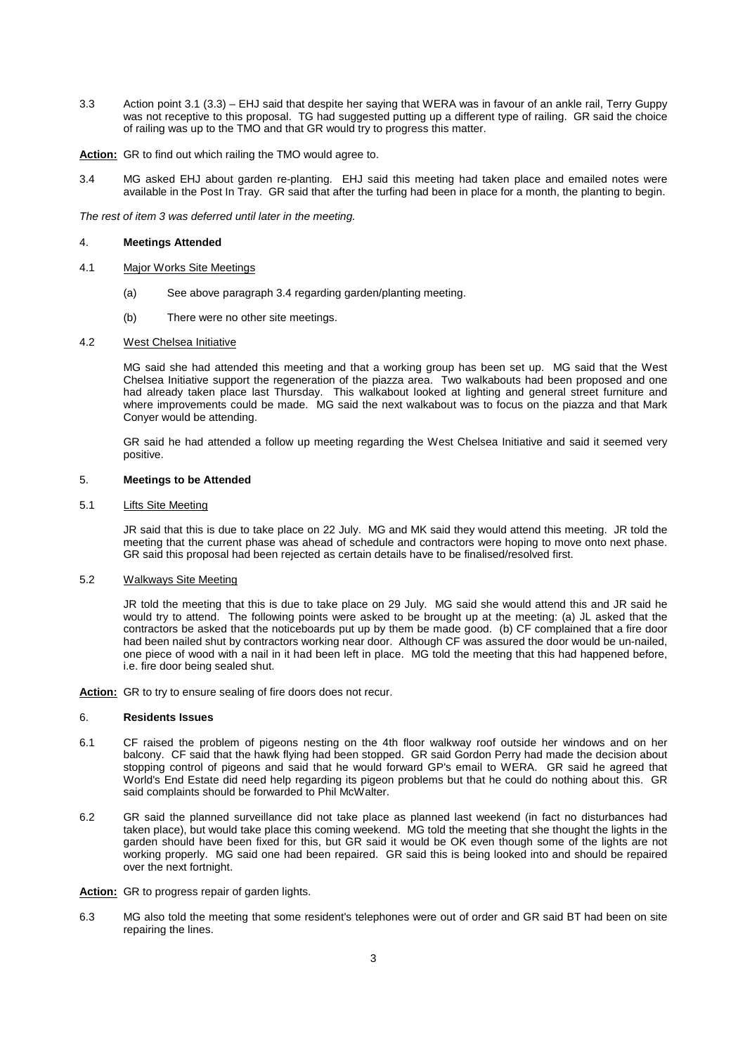3.3 Action point 3.1 (3.3) – EHJ said that despite her saying that WERA was in favour of an ankle rail, Terry Guppy was not receptive to this proposal. TG had suggested putting up a different type of railing. GR said the choice of railing was up to the TMO and that GR would try to progress this matter.

**Action:** GR to find out which railing the TMO would agree to.

3.4 MG asked EHJ about garden re-planting. EHJ said this meeting had taken place and emailed notes were available in the Post In Tray. GR said that after the turfing had been in place for a month, the planting to begin.

The rest of item 3 was deferred until later in the meeting.

### 4. **Meetings Attended**

- 4.1 Major Works Site Meetings
	- (a) See above paragraph 3.4 regarding garden/planting meeting.
	- (b) There were no other site meetings.

### 4.2 West Chelsea Initiative

MG said she had attended this meeting and that a working group has been set up. MG said that the West Chelsea Initiative support the regeneration of the piazza area. Two walkabouts had been proposed and one had already taken place last Thursday. This walkabout looked at lighting and general street furniture and where improvements could be made. MG said the next walkabout was to focus on the piazza and that Mark Conyer would be attending.

GR said he had attended a follow up meeting regarding the West Chelsea Initiative and said it seemed very positive.

### 5. **Meetings to be Attended**

# 5.1 Lifts Site Meeting

JR said that this is due to take place on 22 July. MG and MK said they would attend this meeting. JR told the meeting that the current phase was ahead of schedule and contractors were hoping to move onto next phase. GR said this proposal had been rejected as certain details have to be finalised/resolved first.

# 5.2 Walkways Site Meeting

JR told the meeting that this is due to take place on 29 July. MG said she would attend this and JR said he would try to attend. The following points were asked to be brought up at the meeting: (a) JL asked that the contractors be asked that the noticeboards put up by them be made good. (b) CF complained that a fire door had been nailed shut by contractors working near door. Although CF was assured the door would be un-nailed, one piece of wood with a nail in it had been left in place. MG told the meeting that this had happened before, i.e. fire door being sealed shut.

**Action:** GR to try to ensure sealing of fire doors does not recur.

#### 6. **Residents Issues**

- 6.1 CF raised the problem of pigeons nesting on the 4th floor walkway roof outside her windows and on her balcony. CF said that the hawk flying had been stopped. GR said Gordon Perry had made the decision about stopping control of pigeons and said that he would forward GP's email to WERA. GR said he agreed that World's End Estate did need help regarding its pigeon problems but that he could do nothing about this. GR said complaints should be forwarded to Phil McWalter.
- 6.2 GR said the planned surveillance did not take place as planned last weekend (in fact no disturbances had taken place), but would take place this coming weekend. MG told the meeting that she thought the lights in the garden should have been fixed for this, but GR said it would be OK even though some of the lights are not working properly. MG said one had been repaired. GR said this is being looked into and should be repaired over the next fortnight.
- **Action:** GR to progress repair of garden lights.
- 6.3 MG also told the meeting that some resident's telephones were out of order and GR said BT had been on site repairing the lines.